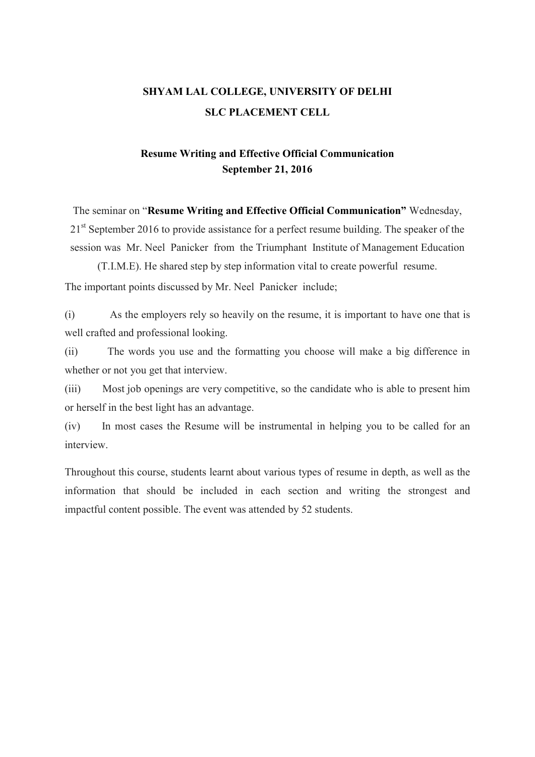## SHYAM LAL COLLEGE, UNIVERSITY OF DELHI SLC PLACEMENT CELL

## Resume Writing and Effective Official Communication September 21, 2016

The seminar on "Resume Writing and Effective Official Communication" Wednesday, 21<sup>st</sup> September 2016 to provide assistance for a perfect resume building. The speaker of the session was Mr. Neel Panicker from the Triumphant Institute of Management Education

(T.I.M.E). He shared step by step information vital to create powerful resume. The important points discussed by Mr. Neel Panicker include;

(i) As the employers rely so heavily on the resume, it is important to have one that is well crafted and professional looking.

(ii) The words you use and the formatting you choose will make a big difference in whether or not you get that interview.

(iii) Most job openings are very competitive, so the candidate who is able to present him or herself in the best light has an advantage.

(iv) In most cases the Resume will be instrumental in helping you to be called for an interview.

Throughout this course, students learnt about various types of resume in depth, as well as the information that should be included in each section and writing the strongest and impactful content possible. The event was attended by 52 students.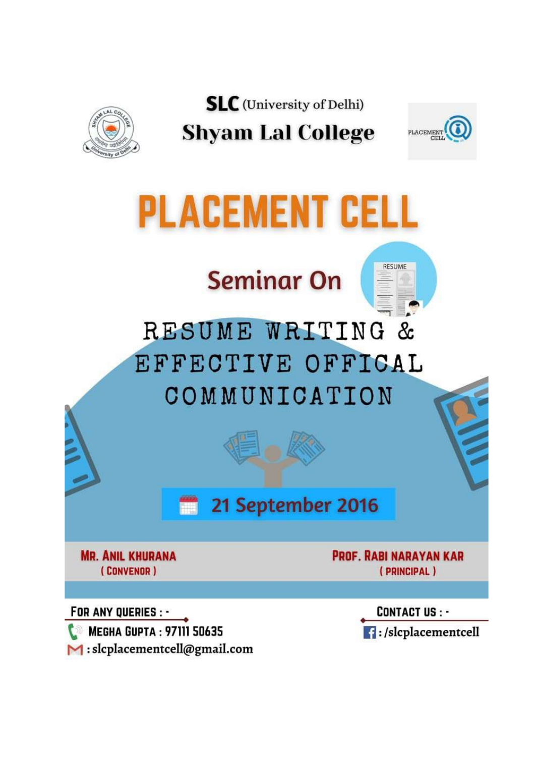

**SLC** (University of Delhi) **Shyam Lal College** 



## **PLACEMENT CELL**

## **Seminar On**

RESUME WRITING & EFFECTIVE OFFICAL COMMUNICATION

> 21 September 2016 m

**MR. ANIL KHURANA** (CONVENOR)

**PROF. RABI NARAYAN KAR** (PRINCIPAL)

**RESUME** 

FOR ANY QUERIES : -**MEGHA GUPTA: 97111 50635**  $\blacktriangleright$  : slcplacementcell@gmail.com

**CONTACT US: -** $\blacksquare$ :/slcplacementcell